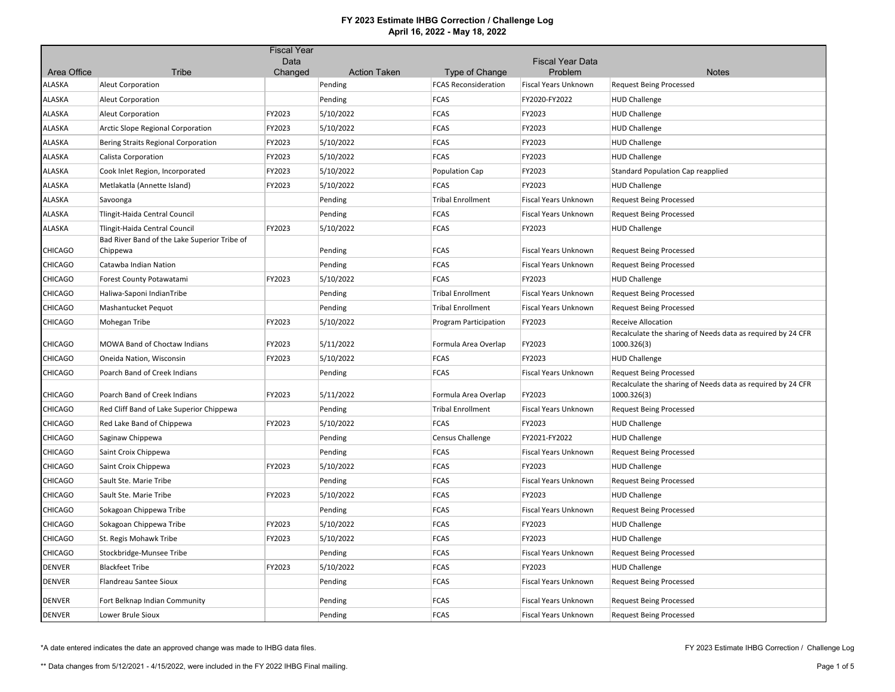|                       |                                                          | <b>Fiscal Year</b> |                                |                                               |                                 |                                                                                   |
|-----------------------|----------------------------------------------------------|--------------------|--------------------------------|-----------------------------------------------|---------------------------------|-----------------------------------------------------------------------------------|
|                       |                                                          | Data               |                                |                                               | <b>Fiscal Year Data</b>         |                                                                                   |
| Area Office<br>ALASKA | Tribe<br><b>Aleut Corporation</b>                        | Changed            | <b>Action Taken</b><br>Pending | Type of Change<br><b>FCAS Reconsideration</b> | Problem<br>Fiscal Years Unknown | <b>Notes</b><br><b>Request Being Processed</b>                                    |
| ALASKA                |                                                          |                    | Pending                        | <b>FCAS</b>                                   | FY2020-FY2022                   |                                                                                   |
| ALASKA                | Aleut Corporation                                        | FY2023             |                                | <b>FCAS</b>                                   | FY2023                          | <b>HUD Challenge</b>                                                              |
|                       | <b>Aleut Corporation</b>                                 |                    | 5/10/2022                      |                                               |                                 | <b>HUD Challenge</b>                                                              |
| ALASKA                | Arctic Slope Regional Corporation                        | FY2023             | 5/10/2022                      | <b>FCAS</b>                                   | FY2023                          | <b>HUD Challenge</b>                                                              |
| ALASKA                | Bering Straits Regional Corporation                      | FY2023             | 5/10/2022                      | <b>FCAS</b>                                   | FY2023                          | <b>HUD Challenge</b>                                                              |
| ALASKA                | Calista Corporation                                      | FY2023             | 5/10/2022                      | <b>FCAS</b>                                   | FY2023                          | <b>HUD Challenge</b>                                                              |
| ALASKA                | Cook Inlet Region, Incorporated                          | FY2023             | 5/10/2022                      | Population Cap                                | FY2023                          | <b>Standard Population Cap reapplied</b>                                          |
| ALASKA                | Metlakatla (Annette Island)                              | FY2023             | 5/10/2022                      | <b>FCAS</b>                                   | FY2023                          | <b>HUD Challenge</b>                                                              |
| ALASKA                | Savoonga                                                 |                    | Pending                        | <b>Tribal Enrollment</b>                      | Fiscal Years Unknown            | <b>Request Being Processed</b>                                                    |
| ALASKA                | Tlingit-Haida Central Council                            |                    | Pending                        | <b>FCAS</b>                                   | Fiscal Years Unknown            | <b>Request Being Processed</b>                                                    |
| ALASKA                | Tlingit-Haida Central Council                            | FY2023             | 5/10/2022                      | <b>FCAS</b>                                   | FY2023                          | <b>HUD Challenge</b>                                                              |
| <b>CHICAGO</b>        | Bad River Band of the Lake Superior Tribe of<br>Chippewa |                    | Pending                        | <b>FCAS</b>                                   | <b>Fiscal Years Unknown</b>     | <b>Request Being Processed</b>                                                    |
| <b>CHICAGO</b>        |                                                          |                    |                                | FCAS                                          |                                 |                                                                                   |
|                       | Catawba Indian Nation                                    | FY2023             | Pending                        | <b>FCAS</b>                                   | Fiscal Years Unknown<br>FY2023  | <b>Request Being Processed</b>                                                    |
| <b>CHICAGO</b>        | Forest County Potawatami                                 |                    | 5/10/2022                      |                                               |                                 | <b>HUD Challenge</b>                                                              |
| <b>CHICAGO</b>        | Haliwa-Saponi IndianTribe                                |                    | Pending                        | <b>Tribal Enrollment</b>                      | Fiscal Years Unknown            | <b>Request Being Processed</b>                                                    |
| <b>CHICAGO</b>        | Mashantucket Pequot                                      |                    | Pending                        | <b>Tribal Enrollment</b>                      | Fiscal Years Unknown            | <b>Request Being Processed</b>                                                    |
| <b>CHICAGO</b>        | Mohegan Tribe                                            | FY2023             | 5/10/2022                      | Program Participation                         | FY2023                          | Receive Allocation<br>Recalculate the sharing of Needs data as required by 24 CFR |
| <b>CHICAGO</b>        | MOWA Band of Choctaw Indians                             | FY2023             | 5/11/2022                      | Formula Area Overlap                          | FY2023                          | 1000.326(3)                                                                       |
| <b>CHICAGO</b>        | Oneida Nation, Wisconsin                                 | FY2023             | 5/10/2022                      | <b>FCAS</b>                                   | FY2023                          | <b>HUD Challenge</b>                                                              |
| <b>CHICAGO</b>        | Poarch Band of Creek Indians                             |                    | Pending                        | <b>FCAS</b>                                   | Fiscal Years Unknown            | <b>Request Being Processed</b>                                                    |
| CHICAGO               | Poarch Band of Creek Indians                             | FY2023             | 5/11/2022                      | Formula Area Overlap                          | FY2023                          | Recalculate the sharing of Needs data as required by 24 CFR<br>1000.326(3)        |
| <b>CHICAGO</b>        | Red Cliff Band of Lake Superior Chippewa                 |                    | Pending                        | <b>Tribal Enrollment</b>                      | Fiscal Years Unknown            | <b>Request Being Processed</b>                                                    |
| <b>CHICAGO</b>        | Red Lake Band of Chippewa                                | FY2023             | 5/10/2022                      | <b>FCAS</b>                                   | FY2023                          | <b>HUD Challenge</b>                                                              |
| <b>CHICAGO</b>        | Saginaw Chippewa                                         |                    | Pending                        | Census Challenge                              | FY2021-FY2022                   | <b>HUD Challenge</b>                                                              |
| <b>CHICAGO</b>        | Saint Croix Chippewa                                     |                    | Pending                        | <b>FCAS</b>                                   | Fiscal Years Unknown            | <b>Request Being Processed</b>                                                    |
| <b>CHICAGO</b>        | Saint Croix Chippewa                                     | FY2023             | 5/10/2022                      | <b>FCAS</b>                                   | FY2023                          | <b>HUD Challenge</b>                                                              |
| CHICAGO               | Sault Ste. Marie Tribe                                   |                    | Pending                        | <b>FCAS</b>                                   | Fiscal Years Unknown            | <b>Request Being Processed</b>                                                    |
| CHICAGO               | Sault Ste. Marie Tribe                                   | FY2023             | 5/10/2022                      | <b>FCAS</b>                                   | FY2023                          | <b>HUD Challenge</b>                                                              |
| CHICAGO               | Sokagoan Chippewa Tribe                                  |                    | Pending                        | <b>FCAS</b>                                   | Fiscal Years Unknown            | <b>Request Being Processed</b>                                                    |
| <b>CHICAGO</b>        | Sokagoan Chippewa Tribe                                  | FY2023             | 5/10/2022                      | <b>FCAS</b>                                   | FY2023                          | <b>HUD Challenge</b>                                                              |
| <b>CHICAGO</b>        | St. Regis Mohawk Tribe                                   | FY2023             | 5/10/2022                      | FCAS                                          | FY2023                          | <b>HUD Challenge</b>                                                              |
| <b>CHICAGO</b>        | Stockbridge-Munsee Tribe                                 |                    | Pending                        | <b>FCAS</b>                                   | Fiscal Years Unknown            | <b>Request Being Processed</b>                                                    |
| <b>DENVER</b>         | <b>Blackfeet Tribe</b>                                   | FY2023             | 5/10/2022                      | FCAS                                          | FY2023                          | <b>HUD Challenge</b>                                                              |
| <b>DENVER</b>         | Flandreau Santee Sioux                                   |                    | Pending                        | <b>FCAS</b>                                   | Fiscal Years Unknown            | <b>Request Being Processed</b>                                                    |
| <b>DENVER</b>         | Fort Belknap Indian Community                            |                    | Pending                        | <b>FCAS</b>                                   | <b>Fiscal Years Unknown</b>     | <b>Request Being Processed</b>                                                    |
| <b>DENVER</b>         | Lower Brule Sioux                                        |                    |                                | <b>FCAS</b>                                   | Fiscal Years Unknown            |                                                                                   |
|                       |                                                          |                    | Pending                        |                                               |                                 | <b>Request Being Processed</b>                                                    |

\*A date entered indicates the date an approved change was made to IHBG data files.

FY 2023 Estimate IHBG Correction / Challenge Log

\*\* Data changes from 5/12/2021 - 4/15/2022, were included in the FY 2022 IHBG Final mailing.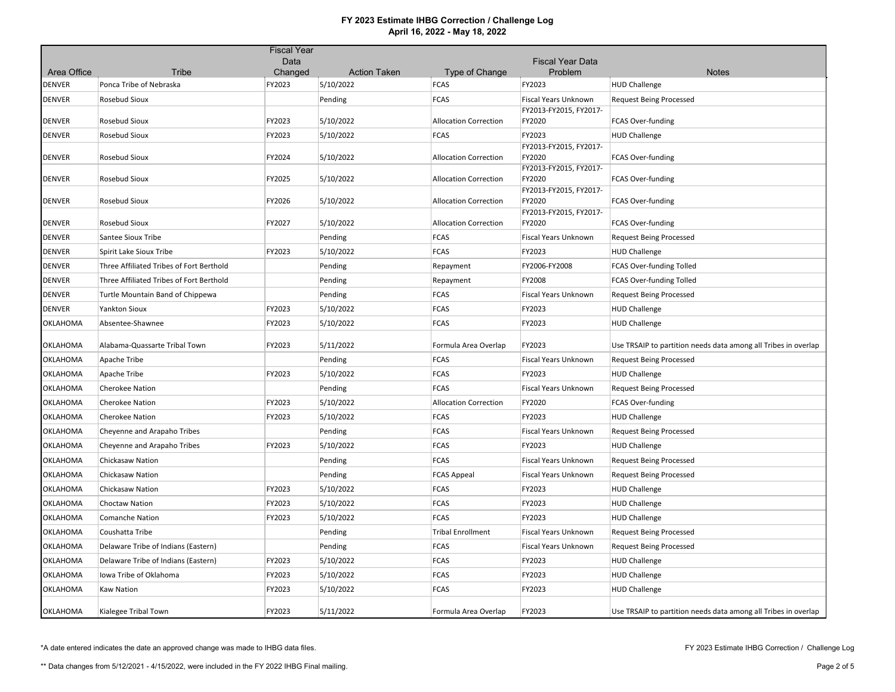|               |                                          | <b>Fiscal Year</b> |                     |                              |                                                |                                                                |
|---------------|------------------------------------------|--------------------|---------------------|------------------------------|------------------------------------------------|----------------------------------------------------------------|
|               |                                          | Data               |                     |                              | <b>Fiscal Year Data</b>                        |                                                                |
| Area Office   | Tribe                                    | Changed            | <b>Action Taken</b> | Type of Change               | Problem                                        | <b>Notes</b>                                                   |
| DENVER        | Ponca Tribe of Nebraska                  | FY2023             | 5/10/2022           | <b>FCAS</b>                  | FY2023                                         | <b>HUD Challenge</b>                                           |
| DENVER        | Rosebud Sioux                            |                    | Pending             | <b>FCAS</b>                  | Fiscal Years Unknown<br>FY2013-FY2015, FY2017- | <b>Request Being Processed</b>                                 |
| DENVER        | Rosebud Sioux                            | FY2023             | 5/10/2022           | <b>Allocation Correction</b> | FY2020                                         | FCAS Over-funding                                              |
| <b>DENVER</b> | <b>Rosebud Sioux</b>                     | FY2023             | 5/10/2022           | <b>FCAS</b>                  | FY2023                                         | <b>HUD Challenge</b>                                           |
| <b>DENVER</b> | <b>Rosebud Sioux</b>                     | FY2024             | 5/10/2022           | <b>Allocation Correction</b> | FY2013-FY2015, FY2017-<br>FY2020               | FCAS Over-funding                                              |
| DENVER        | Rosebud Sioux                            | FY2025             | 5/10/2022           | <b>Allocation Correction</b> | FY2013-FY2015, FY2017-<br>FY2020               | FCAS Over-funding                                              |
| DENVER        | Rosebud Sioux                            | FY2026             | 5/10/2022           | <b>Allocation Correction</b> | FY2013-FY2015, FY2017-<br>FY2020               | FCAS Over-funding                                              |
| <b>DENVER</b> | Rosebud Sioux                            | FY2027             | 5/10/2022           | <b>Allocation Correction</b> | FY2013-FY2015, FY2017-<br>FY2020               | FCAS Over-funding                                              |
| DENVER        | Santee Sioux Tribe                       |                    | Pending             | <b>FCAS</b>                  | Fiscal Years Unknown                           | <b>Request Being Processed</b>                                 |
| DENVER        | Spirit Lake Sioux Tribe                  | FY2023             | 5/10/2022           | <b>FCAS</b>                  | FY2023                                         | <b>HUD Challenge</b>                                           |
| DENVER        | Three Affiliated Tribes of Fort Berthold |                    | Pending             | Repayment                    | FY2006-FY2008                                  | FCAS Over-funding Tolled                                       |
| <b>DENVER</b> | Three Affiliated Tribes of Fort Berthold |                    | Pending             | Repayment                    | FY2008                                         | FCAS Over-funding Tolled                                       |
| DENVER        | Turtle Mountain Band of Chippewa         |                    | Pending             | <b>FCAS</b>                  | Fiscal Years Unknown                           | <b>Request Being Processed</b>                                 |
| DENVER        | <b>Yankton Sioux</b>                     | FY2023             | 5/10/2022           | <b>FCAS</b>                  | FY2023                                         | <b>HUD Challenge</b>                                           |
| OKLAHOMA      | Absentee-Shawnee                         | FY2023             | 5/10/2022           | <b>FCAS</b>                  | FY2023                                         | <b>HUD Challenge</b>                                           |
| OKLAHOMA      | Alabama-Quassarte Tribal Town            | FY2023             | 5/11/2022           | Formula Area Overlap         | FY2023                                         | Use TRSAIP to partition needs data among all Tribes in overlap |
| OKLAHOMA      | Apache Tribe                             |                    | Pending             | <b>FCAS</b>                  | Fiscal Years Unknown                           | <b>Request Being Processed</b>                                 |
| OKLAHOMA      | Apache Tribe                             | FY2023             | 5/10/2022           | FCAS                         | FY2023                                         | <b>HUD Challenge</b>                                           |
| OKLAHOMA      | <b>Cherokee Nation</b>                   |                    | Pending             | <b>FCAS</b>                  | <b>Fiscal Years Unknown</b>                    | <b>Request Being Processed</b>                                 |
| OKLAHOMA      | <b>Cherokee Nation</b>                   | FY2023             | 5/10/2022           | <b>Allocation Correction</b> | FY2020                                         | FCAS Over-funding                                              |
| OKLAHOMA      | <b>Cherokee Nation</b>                   | FY2023             | 5/10/2022           | <b>FCAS</b>                  | FY2023                                         | <b>HUD Challenge</b>                                           |
| OKLAHOMA      | Cheyenne and Arapaho Tribes              |                    | Pending             | FCAS                         | Fiscal Years Unknown                           | <b>Request Being Processed</b>                                 |
| OKLAHOMA      | Cheyenne and Arapaho Tribes              | FY2023             | 5/10/2022           | <b>FCAS</b>                  | FY2023                                         | <b>HUD Challenge</b>                                           |
| OKLAHOMA      | Chickasaw Nation                         |                    | Pending             | <b>FCAS</b>                  | Fiscal Years Unknown                           | <b>Request Being Processed</b>                                 |
| OKLAHOMA      | Chickasaw Nation                         |                    | Pending             | <b>FCAS Appeal</b>           | <b>Fiscal Years Unknown</b>                    | <b>Request Being Processed</b>                                 |
| OKLAHOMA      | Chickasaw Nation                         | FY2023             | 5/10/2022           | <b>FCAS</b>                  | FY2023                                         | <b>HUD Challenge</b>                                           |
| OKLAHOMA      | <b>Choctaw Nation</b>                    | FY2023             | 5/10/2022           | <b>FCAS</b>                  | FY2023                                         | <b>HUD Challenge</b>                                           |
| OKLAHOMA      | <b>Comanche Nation</b>                   | FY2023             | 5/10/2022           | <b>FCAS</b>                  | FY2023                                         | <b>HUD Challenge</b>                                           |
| OKLAHOMA      | Coushatta Tribe                          |                    | Pending             | <b>Tribal Enrollment</b>     | <b>Fiscal Years Unknown</b>                    | <b>Request Being Processed</b>                                 |
| OKLAHOMA      | Delaware Tribe of Indians (Eastern)      |                    | Pending             | <b>FCAS</b>                  | Fiscal Years Unknown                           | <b>Request Being Processed</b>                                 |
| OKLAHOMA      | Delaware Tribe of Indians (Eastern)      | FY2023             | 5/10/2022           | <b>FCAS</b>                  | FY2023                                         | <b>HUD Challenge</b>                                           |
| OKLAHOMA      | Iowa Tribe of Oklahoma                   | FY2023             | 5/10/2022           | <b>FCAS</b>                  | FY2023                                         | <b>HUD Challenge</b>                                           |
| OKLAHOMA      | <b>Kaw Nation</b>                        | FY2023             | 5/10/2022           | <b>FCAS</b>                  | FY2023                                         | <b>HUD Challenge</b>                                           |
| OKLAHOMA      | Kialegee Tribal Town                     | FY2023             | 5/11/2022           | Formula Area Overlap         | FY2023                                         | Use TRSAIP to partition needs data among all Tribes in overlap |

\*A date entered indicates the date an approved change was made to IHBG data files.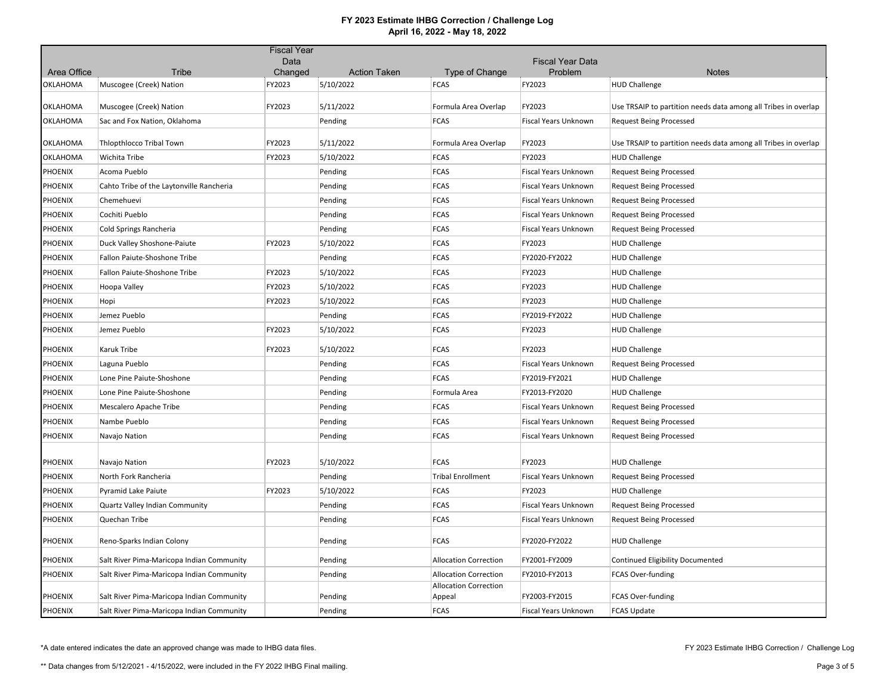|                 |                                           | <b>Fiscal Year</b> |                     |                                        |                             |                                                                |
|-----------------|-------------------------------------------|--------------------|---------------------|----------------------------------------|-----------------------------|----------------------------------------------------------------|
|                 |                                           | Data               |                     |                                        | <b>Fiscal Year Data</b>     |                                                                |
| Area Office     | <b>Tribe</b>                              | Changed            | <b>Action Taken</b> | Type of Change                         | Problem                     | <b>Notes</b>                                                   |
| OKLAHOMA        | Muscogee (Creek) Nation                   | FY2023             | 5/10/2022           | <b>FCAS</b>                            | FY2023                      | <b>HUD Challenge</b>                                           |
| <b>OKLAHOMA</b> | Muscogee (Creek) Nation                   | FY2023             | 5/11/2022           | Formula Area Overlap                   | FY2023                      | Use TRSAIP to partition needs data among all Tribes in overlap |
| OKLAHOMA        | Sac and Fox Nation, Oklahoma              |                    | Pending             | <b>FCAS</b>                            | Fiscal Years Unknown        | <b>Request Being Processed</b>                                 |
| <b>OKLAHOMA</b> | <b>Thiopthiocco Tribal Town</b>           | FY2023             | 5/11/2022           | Formula Area Overlap                   | FY2023                      | Use TRSAIP to partition needs data among all Tribes in overlap |
| OKLAHOMA        | Wichita Tribe                             | FY2023             | 5/10/2022           | <b>FCAS</b>                            | FY2023                      | <b>HUD Challenge</b>                                           |
| <b>PHOENIX</b>  | Acoma Pueblo                              |                    | Pending             | <b>FCAS</b>                            | Fiscal Years Unknown        | <b>Request Being Processed</b>                                 |
| PHOENIX         | Cahto Tribe of the Laytonville Rancheria  |                    | Pending             | <b>FCAS</b>                            | Fiscal Years Unknown        | <b>Request Being Processed</b>                                 |
| <b>PHOENIX</b>  | Chemehuevi                                |                    | Pending             | <b>FCAS</b>                            | Fiscal Years Unknown        | <b>Request Being Processed</b>                                 |
| <b>PHOENIX</b>  | Cochiti Pueblo                            |                    | Pending             | <b>FCAS</b>                            | Fiscal Years Unknown        | <b>Request Being Processed</b>                                 |
| <b>PHOENIX</b>  | Cold Springs Rancheria                    |                    | Pending             | <b>FCAS</b>                            | Fiscal Years Unknown        | <b>Request Being Processed</b>                                 |
| <b>PHOENIX</b>  | Duck Valley Shoshone-Paiute               | FY2023             | 5/10/2022           | <b>FCAS</b>                            | FY2023                      | <b>HUD Challenge</b>                                           |
| <b>PHOENIX</b>  | Fallon Paiute-Shoshone Tribe              |                    | Pending             | <b>FCAS</b>                            | FY2020-FY2022               | <b>HUD Challenge</b>                                           |
| <b>PHOENIX</b>  | Fallon Paiute-Shoshone Tribe              | FY2023             | 5/10/2022           | <b>FCAS</b>                            | FY2023                      | <b>HUD Challenge</b>                                           |
| <b>PHOENIX</b>  | Hoopa Valley                              | FY2023             | 5/10/2022           | <b>FCAS</b>                            | FY2023                      | <b>HUD Challenge</b>                                           |
| <b>PHOENIX</b>  | Hopi                                      | FY2023             | 5/10/2022           | <b>FCAS</b>                            | FY2023                      | <b>HUD Challenge</b>                                           |
| <b>PHOENIX</b>  | Jemez Pueblo                              |                    | Pending             | <b>FCAS</b>                            | FY2019-FY2022               | <b>HUD Challenge</b>                                           |
| <b>PHOENIX</b>  | Jemez Pueblo                              | FY2023             | 5/10/2022           | <b>FCAS</b>                            | FY2023                      | <b>HUD Challenge</b>                                           |
| <b>PHOENIX</b>  | Karuk Tribe                               | FY2023             | 5/10/2022           | <b>FCAS</b>                            | FY2023                      | <b>HUD Challenge</b>                                           |
| <b>PHOENIX</b>  | Laguna Pueblo                             |                    | Pending             | <b>FCAS</b>                            | Fiscal Years Unknown        | <b>Request Being Processed</b>                                 |
| <b>PHOENIX</b>  | Lone Pine Paiute-Shoshone                 |                    | Pending             | <b>FCAS</b>                            | FY2019-FY2021               | <b>HUD Challenge</b>                                           |
| <b>PHOENIX</b>  | Lone Pine Paiute-Shoshone                 |                    | Pending             | Formula Area                           | FY2013-FY2020               | <b>HUD Challenge</b>                                           |
| <b>PHOENIX</b>  | Mescalero Apache Tribe                    |                    | Pending             | <b>FCAS</b>                            | Fiscal Years Unknown        | <b>Request Being Processed</b>                                 |
| <b>PHOENIX</b>  | Nambe Pueblo                              |                    | Pending             | <b>FCAS</b>                            | Fiscal Years Unknown        | <b>Request Being Processed</b>                                 |
| <b>PHOENIX</b>  | Navajo Nation                             |                    | Pending             | <b>FCAS</b>                            | Fiscal Years Unknown        | <b>Request Being Processed</b>                                 |
| <b>PHOENIX</b>  | Navajo Nation                             | FY2023             | 5/10/2022           | <b>FCAS</b>                            | FY2023                      | <b>HUD Challenge</b>                                           |
| <b>PHOENIX</b>  | North Fork Rancheria                      |                    | Pending             | <b>Tribal Enrollment</b>               | Fiscal Years Unknown        | <b>Request Being Processed</b>                                 |
| <b>PHOENIX</b>  | <b>Pyramid Lake Paiute</b>                | FY2023             | 5/10/2022           | <b>FCAS</b>                            | FY2023                      | <b>HUD Challenge</b>                                           |
| <b>PHOENIX</b>  | Quartz Valley Indian Community            |                    | Pending             | <b>FCAS</b>                            | Fiscal Years Unknown        | <b>Request Being Processed</b>                                 |
| PHOENIX         | Quechan Tribe                             |                    | Pending             | <b>FCAS</b>                            | Fiscal Years Unknown        | <b>Request Being Processed</b>                                 |
| <b>PHOENIX</b>  | Reno-Sparks Indian Colony                 |                    | Pending             | <b>FCAS</b>                            | FY2020-FY2022               | <b>HUD Challenge</b>                                           |
| <b>PHOENIX</b>  | Salt River Pima-Maricopa Indian Community |                    | Pending             | <b>Allocation Correction</b>           | FY2001-FY2009               | <b>Continued Eligibility Documented</b>                        |
| <b>PHOENIX</b>  | Salt River Pima-Maricopa Indian Community |                    | Pending             | <b>Allocation Correction</b>           | FY2010-FY2013               | FCAS Over-funding                                              |
| <b>PHOENIX</b>  | Salt River Pima-Maricopa Indian Community |                    | Pending             | <b>Allocation Correction</b><br>Appeal | FY2003-FY2015               | FCAS Over-funding                                              |
| <b>PHOENIX</b>  | Salt River Pima-Maricopa Indian Community |                    | Pending             | <b>FCAS</b>                            | <b>Fiscal Years Unknown</b> | <b>FCAS Update</b>                                             |

\*A date entered indicates the date an approved change was made to IHBG data files.

FY 2023 Estimate IHBG Correction / Challenge Log

\*\* Data changes from 5/12/2021 - 4/15/2022, were included in the FY 2022 IHBG Final mailing.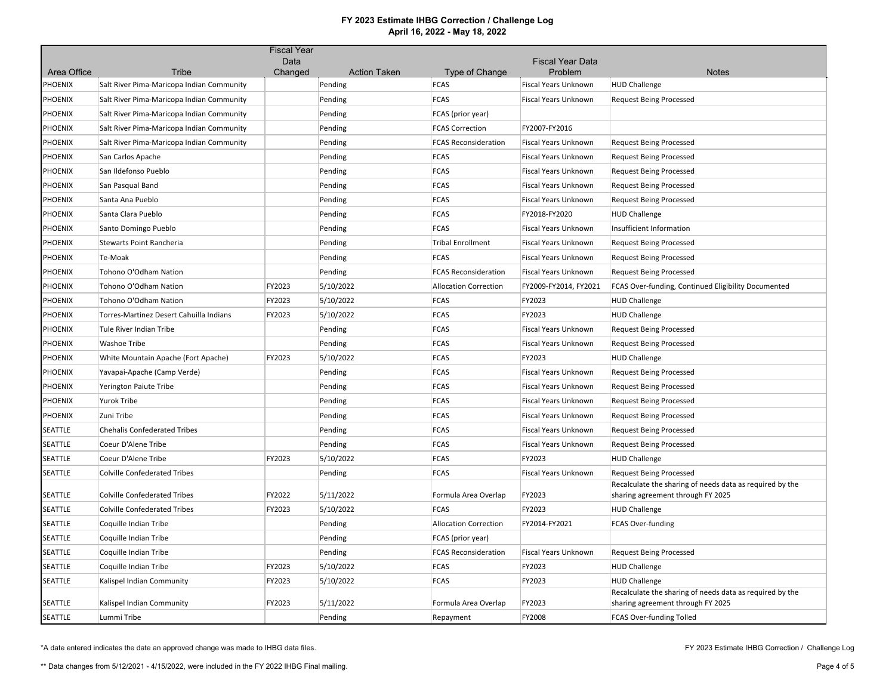|                |                                           | <b>Fiscal Year</b> |                                |                               |                                 |                                                                                               |
|----------------|-------------------------------------------|--------------------|--------------------------------|-------------------------------|---------------------------------|-----------------------------------------------------------------------------------------------|
| Area Office    | Tribe                                     | Data               |                                |                               | <b>Fiscal Year Data</b>         |                                                                                               |
| <b>PHOENIX</b> | Salt River Pima-Maricopa Indian Community | Changed            | <b>Action Taken</b><br>Pending | Type of Change<br><b>FCAS</b> | Problem<br>Fiscal Years Unknown | <b>Notes</b><br><b>HUD Challenge</b>                                                          |
| <b>PHOENIX</b> | Salt River Pima-Maricopa Indian Community |                    | Pending                        | <b>FCAS</b>                   | Fiscal Years Unknown            | <b>Request Being Processed</b>                                                                |
| <b>PHOENIX</b> |                                           |                    |                                |                               |                                 |                                                                                               |
|                | Salt River Pima-Maricopa Indian Community |                    | Pending                        | FCAS (prior year)             |                                 |                                                                                               |
| <b>PHOENIX</b> | Salt River Pima-Maricopa Indian Community |                    | Pending                        | <b>FCAS Correction</b>        | FY2007-FY2016                   |                                                                                               |
| <b>PHOENIX</b> | Salt River Pima-Maricopa Indian Community |                    | Pending                        | <b>FCAS Reconsideration</b>   | <b>Fiscal Years Unknown</b>     | <b>Request Being Processed</b>                                                                |
| <b>PHOENIX</b> | San Carlos Apache                         |                    | Pending                        | <b>FCAS</b>                   | <b>Fiscal Years Unknown</b>     | <b>Request Being Processed</b>                                                                |
| <b>PHOENIX</b> | San Ildefonso Pueblo                      |                    | Pending                        | <b>FCAS</b>                   | Fiscal Years Unknown            | <b>Request Being Processed</b>                                                                |
| <b>PHOENIX</b> | San Pasqual Band                          |                    | Pending                        | <b>FCAS</b>                   | Fiscal Years Unknown            | <b>Request Being Processed</b>                                                                |
| <b>PHOENIX</b> | Santa Ana Pueblo                          |                    | Pending                        | <b>FCAS</b>                   | Fiscal Years Unknown            | <b>Request Being Processed</b>                                                                |
| <b>PHOENIX</b> | Santa Clara Pueblo                        |                    | Pending                        | <b>FCAS</b>                   | FY2018-FY2020                   | <b>HUD Challenge</b>                                                                          |
| <b>PHOENIX</b> | Santo Domingo Pueblo                      |                    | Pending                        | <b>FCAS</b>                   | Fiscal Years Unknown            | Insufficient Information                                                                      |
| <b>PHOENIX</b> | Stewarts Point Rancheria                  |                    | Pending                        | Tribal Enrollment             | Fiscal Years Unknown            | <b>Request Being Processed</b>                                                                |
| <b>PHOENIX</b> | Te-Moak                                   |                    | Pending                        | <b>FCAS</b>                   | <b>Fiscal Years Unknown</b>     | <b>Request Being Processed</b>                                                                |
| <b>PHOENIX</b> | Tohono O'Odham Nation                     |                    | Pending                        | <b>FCAS Reconsideration</b>   | Fiscal Years Unknown            | <b>Request Being Processed</b>                                                                |
| <b>PHOENIX</b> | Tohono O'Odham Nation                     | FY2023             | 5/10/2022                      | <b>Allocation Correction</b>  | FY2009-FY2014, FY2021           | FCAS Over-funding, Continued Eligibility Documented                                           |
| <b>PHOENIX</b> | Tohono O'Odham Nation                     | FY2023             | 5/10/2022                      | <b>FCAS</b>                   | FY2023                          | <b>HUD Challenge</b>                                                                          |
| <b>PHOENIX</b> | Torres-Martinez Desert Cahuilla Indians   | FY2023             | 5/10/2022                      | <b>FCAS</b>                   | FY2023                          | <b>HUD Challenge</b>                                                                          |
| <b>PHOENIX</b> | Tule River Indian Tribe                   |                    | Pending                        | <b>FCAS</b>                   | <b>Fiscal Years Unknown</b>     | <b>Request Being Processed</b>                                                                |
| <b>PHOENIX</b> | Washoe Tribe                              |                    | Pending                        | <b>FCAS</b>                   | Fiscal Years Unknown            | <b>Request Being Processed</b>                                                                |
| <b>PHOENIX</b> | White Mountain Apache (Fort Apache)       | FY2023             | 5/10/2022                      | <b>FCAS</b>                   | FY2023                          | <b>HUD Challenge</b>                                                                          |
| <b>PHOENIX</b> | Yavapai-Apache (Camp Verde)               |                    | Pending                        | <b>FCAS</b>                   | Fiscal Years Unknown            | <b>Request Being Processed</b>                                                                |
| <b>PHOENIX</b> | Yerington Paiute Tribe                    |                    | Pending                        | <b>FCAS</b>                   | Fiscal Years Unknown            | <b>Request Being Processed</b>                                                                |
| <b>PHOENIX</b> | Yurok Tribe                               |                    | Pending                        | <b>FCAS</b>                   | <b>Fiscal Years Unknown</b>     | <b>Request Being Processed</b>                                                                |
| <b>PHOENIX</b> | Zuni Tribe                                |                    | Pending                        | <b>FCAS</b>                   | Fiscal Years Unknown            | <b>Request Being Processed</b>                                                                |
| <b>SEATTLE</b> | <b>Chehalis Confederated Tribes</b>       |                    | Pending                        | <b>FCAS</b>                   | Fiscal Years Unknown            | <b>Request Being Processed</b>                                                                |
| <b>SEATTLE</b> | Coeur D'Alene Tribe                       |                    | Pending                        | <b>FCAS</b>                   | <b>Fiscal Years Unknown</b>     | <b>Request Being Processed</b>                                                                |
| <b>SEATTLE</b> | Coeur D'Alene Tribe                       | FY2023             | 5/10/2022                      | <b>FCAS</b>                   | FY2023                          | <b>HUD Challenge</b>                                                                          |
| SEATTLE        | <b>Colville Confederated Tribes</b>       |                    | Pending                        | <b>FCAS</b>                   | <b>Fiscal Years Unknown</b>     | <b>Request Being Processed</b>                                                                |
| <b>SEATTLE</b> | <b>Colville Confederated Tribes</b>       | FY2022             | 5/11/2022                      | Formula Area Overlap          | FY2023                          | Recalculate the sharing of needs data as required by the<br>sharing agreement through FY 2025 |
| SEATTLE        | <b>Colville Confederated Tribes</b>       | FY2023             | 5/10/2022                      | <b>FCAS</b>                   | FY2023                          | <b>HUD Challenge</b>                                                                          |
| SEATTLE        | Coquille Indian Tribe                     |                    | Pending                        | <b>Allocation Correction</b>  | FY2014-FY2021                   | FCAS Over-funding                                                                             |
| <b>SEATTLE</b> | Coquille Indian Tribe                     |                    | Pending                        | FCAS (prior year)             |                                 |                                                                                               |
| SEATTLE        | Coquille Indian Tribe                     |                    | Pending                        | <b>FCAS Reconsideration</b>   | Fiscal Years Unknown            | <b>Request Being Processed</b>                                                                |
| <b>SEATTLE</b> | Coquille Indian Tribe                     | FY2023             | 5/10/2022                      | <b>FCAS</b>                   | FY2023                          | <b>HUD Challenge</b>                                                                          |
| <b>SEATTLE</b> | Kalispel Indian Community                 | FY2023             | 5/10/2022                      | <b>FCAS</b>                   | FY2023                          | <b>HUD Challenge</b>                                                                          |
| SEATTLE        | Kalispel Indian Community                 | FY2023             | 5/11/2022                      | Formula Area Overlap          | FY2023                          | Recalculate the sharing of needs data as required by the<br>sharing agreement through FY 2025 |
| SEATTLE        | Lummi Tribe                               |                    | Pending                        | Repayment                     | FY2008                          | <b>FCAS Over-funding Tolled</b>                                                               |

\*A date entered indicates the date an approved change was made to IHBG data files.

FY 2023 Estimate IHBG Correction / Challenge Log

\*\* Data changes from 5/12/2021 - 4/15/2022, were included in the FY 2022 IHBG Final mailing.